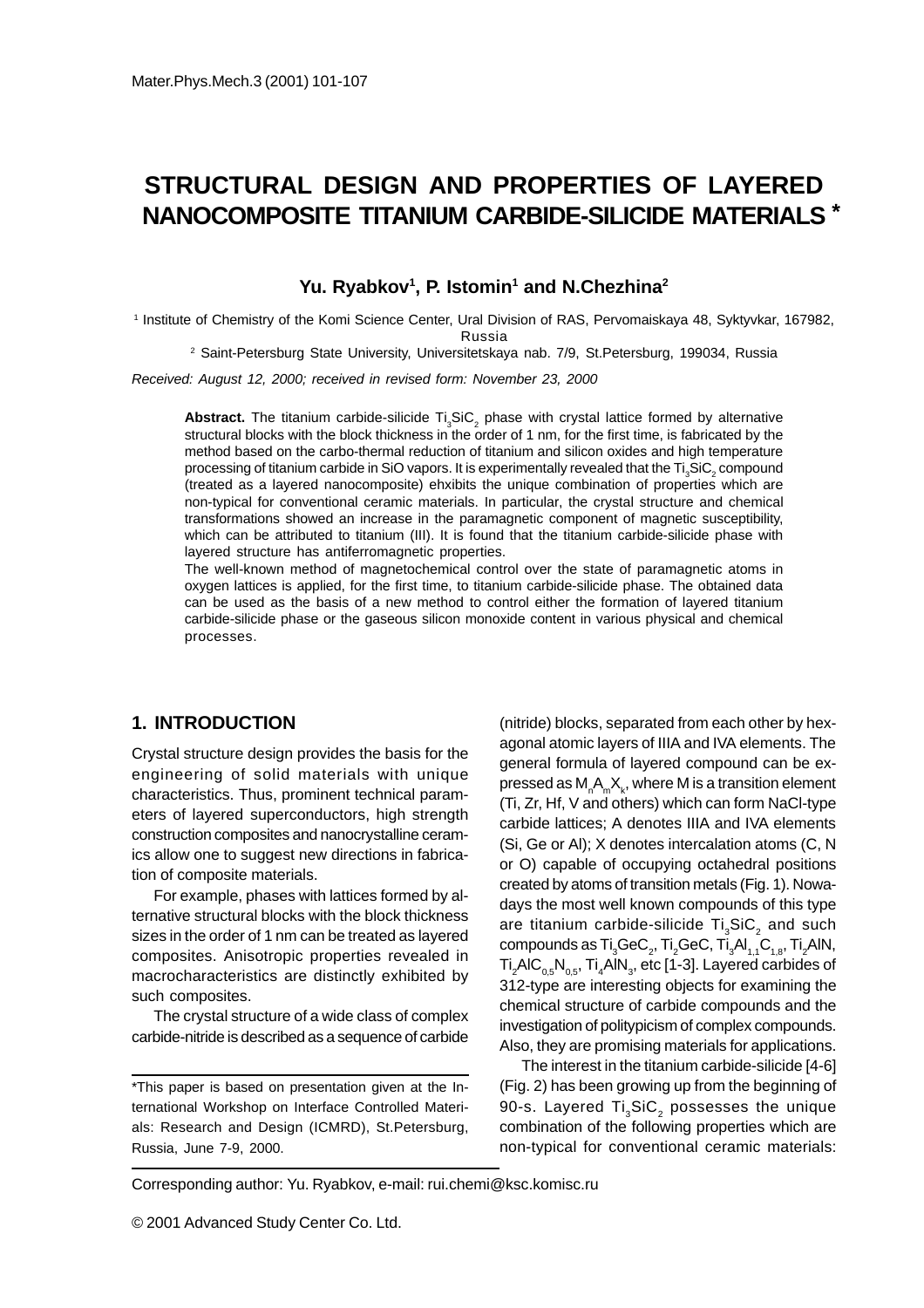# **STRUCTURAL DESIGN AND PROPERTIES OF LAYERED NANOCOMPOSITE TITANIUM CARBIDE-SILICIDE MATERIALS \***

#### Yu. Ryabkov<sup>1</sup>, P. Istomin<sup>1</sup> and N.Chezhina<sup>2</sup>

1 Institute of Chemistry of the Komi Science Center, Ural Division of RAS, Pervomaiskaya 48, Syktyvkar, 167982, Russia

2 Saint-Petersburg State University, Universitetskaya nab. 7/9, St.Petersburg, 199034, Russia

Received: August 12, 2000; received in revised form: November 23, 2000

Abstract. The titanium carbide-silicide Ti<sub>3</sub>SiC<sub>2</sub> phase with crystal lattice formed by alternative structural blocks with the block thickness in the order of 1 nm, for the first time, is fabricated by the method based on the carbo-thermal reduction of titanium and silicon oxides and high temperature processing of titanium carbide in SiO vapors. It is experimentally revealed that the Ti $_{\tiny 3}$ SiC $_{\tiny 2}$  compound (treated as a layered nanocomposite) ehxibits the unique combination of properties which are non-typical for conventional ceramic materials. In particular, the crystal structure and chemical transformations showed an increase in the paramagnetic component of magnetic susceptibility, which can be attributed to titanium (III). It is found that the titanium carbide-silicide phase with layered structure has antiferromagnetic properties.

The well-known method of magnetochemical control over the state of paramagnetic atoms in oxygen lattices is applied, for the first time, to titanium carbide-silicide phase. The obtained data can be used as the basis of a new method to control either the formation of layered titanium carbide-silicide phase or the gaseous silicon monoxide content in various physical and chemical processes.

## **1. INTRODUCTION**

Crystal structure design provides the basis for the engineering of solid materials with unique characteristics. Thus, prominent technical parameters of layered superconductors, high strength construction composites and nanocrystalline ceramics allow one to suggest new directions in fabrication of composite materials.

For example, phases with lattices formed by alternative structural blocks with the block thickness sizes in the order of 1 nm can be treated as layered composites. Anisotropic properties revealed in macrocharacteristics are distinctly exhibited by such composites.

The crystal structure of a wide class of complex carbide-nitride is described as a sequence of carbide

\*This paper is based on presentation given at the International Workshop on Interface Controlled Materials: Research and Design (ICMRD), St.Petersburg, Russia, June 7-9, 2000.

(nitride) blocks, separated from each other by hexagonal atomic layers of IIIA and IVA elements. The general formula of layered compound can be expressed as  $\mathsf{M}_{_\mathsf{n}}\mathsf{A}_{_\mathsf{m}}\mathsf{X}_{_\mathsf{k}},$  where  $\mathsf{M}$  is a transition element (Ti, Zr, Hf, V and others) which can form NaCl-type carbide lattices; A denotes IIIA and IVA elements (Si, Ge or Al); X denotes intercalation atoms (C, N or O) capable of occupying octahedral positions created by atoms of transition metals (Fig. 1). Nowadays the most well known compounds of this type are titanium carbide-silicide  $\mathsf{Ti}_\mathsf{3}\mathsf{SiC}_\mathsf{2}$  and such compounds as  $\mathsf{Ti}_3\mathsf{GeC}_2$ ,  $\mathsf{Ti}_2\mathsf{GeC}$ ,  $\mathsf{Ti}_3\mathsf{Al}_{1,1}\mathsf{C}_{1,8}$ ,  $\mathsf{Ti}_2\mathsf{AlN},$ Ti $_2$ AlC $_{\rm 0,5}$ N $_{\rm 0,5}$ , Ti $_4$ AlN $_3$ , etc [1-3]. Layered carbides of 312-type are interesting objects for examining the chemical structure of carbide compounds and the investigation of politypicism of complex compounds. Also, they are promising materials for applications.

The interest in the titanium carbide-silicide [4-6] (Fig. 2) has been growing up from the beginning of 90-s. Layered Ti $_{\scriptscriptstyle 3}$ SiC $_{\scriptscriptstyle 2}$  possesses the unique combination of the following properties which are non-typical for conventional ceramic materials:

Corresponding author: Yu. Ryabkov, e-mail: rui.chemi@ksc.komisc.ru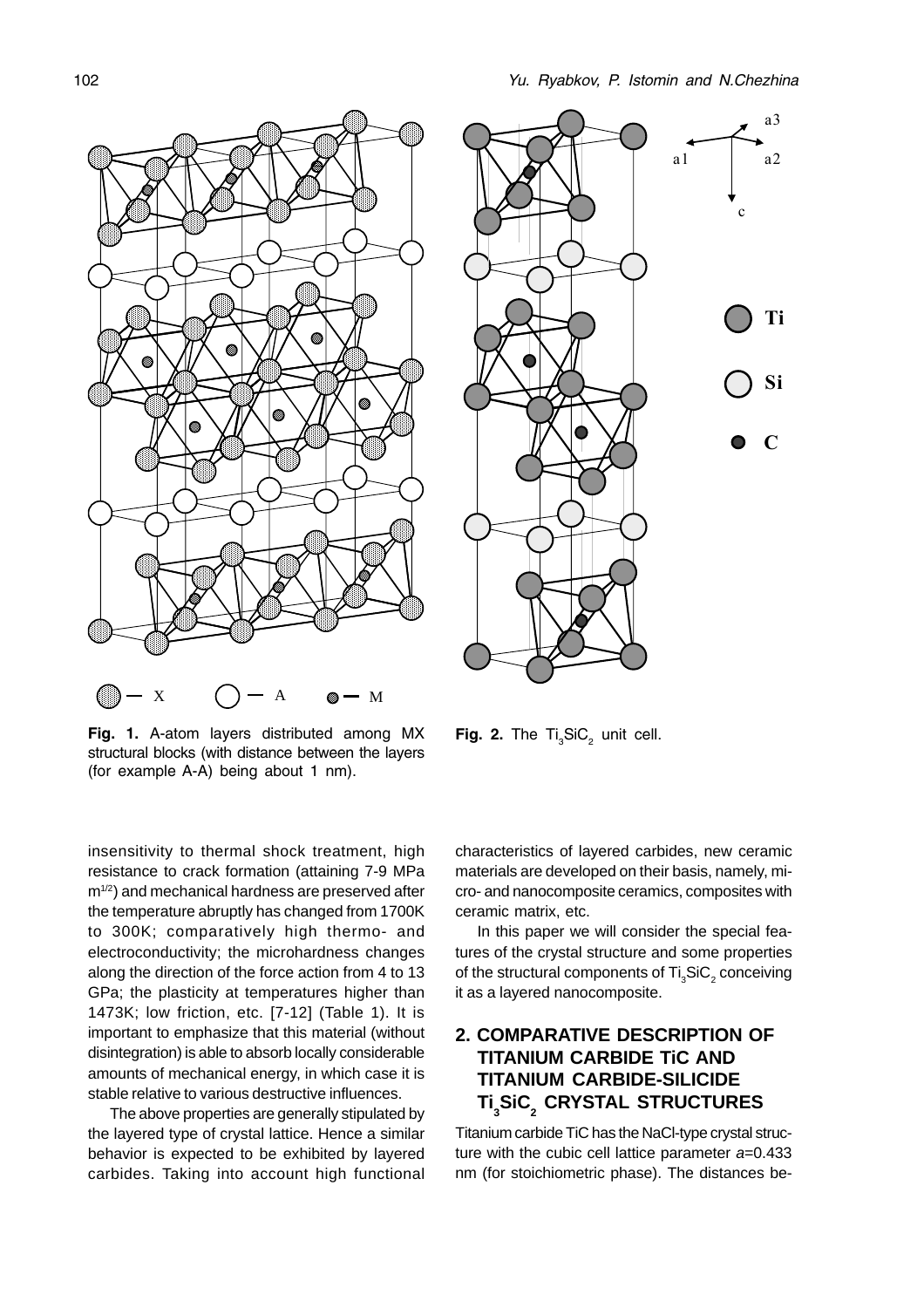

Fig. 1. A-atom layers distributed among MX structural blocks (with distance between the layers (for example A-A) being about 1 nm).

insensitivity to thermal shock treatment, high resistance to crack formation (attaining 7-9 MPa m<sup>1/2</sup>) and mechanical hardness are preserved after the temperature abruptly has changed from 1700K to 300K; comparatively high thermo- and electroconductivity; the microhardness changes along the direction of the force action from 4 to 13 GPa; the plasticity at temperatures higher than 1473K; low friction, etc. [7-12] (Table 1). It is important to emphasize that this material (without disintegration) is able to absorb locally considerable amounts of mechanical energy, in which case it is stable relative to various destructive influences.

The above properties are generally stipulated by the layered type of crystal lattice. Hence a similar behavior is expected to be exhibited by layered carbides. Taking into account high functional



**Fig. 2.** The  $Ti_{3}SiC_{2}$  unit cell.

characteristics of layered carbides, new ceramic materials are developed on their basis, namely, micro- and nanocomposite ceramics, composites with ceramic matrix, etc.

In this paper we will consider the special features of the crystal structure and some properties of the structural components of  $\mathsf{Ti}_3\mathsf{SiC}_2$  conceiving it as a layered nanocomposite.

## **2. COMPARATIVE DESCRIPTION OF TITANIUM CARBIDE TiC AND TITANIUM CARBIDE-SILICIDE**  $\mathsf{Ti}_\mathfrak{z}$ SiC $_2$  CRYSTAL STRUCTURES

Titanium carbide TiC has the NaCl-type crystal structure with the cubic cell lattice parameter  $a=0.433$ nm (for stoichiometric phase). The distances be-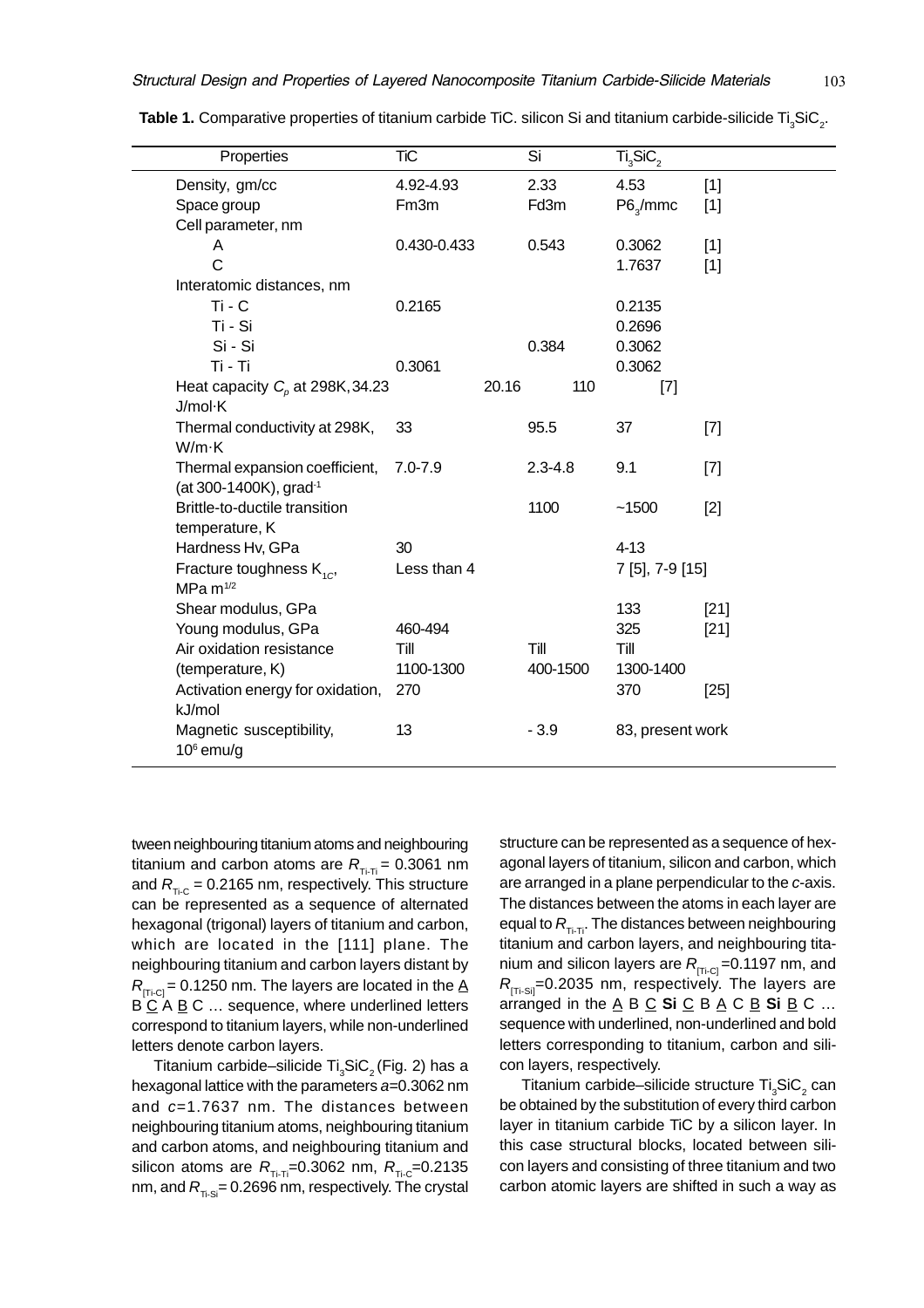|  | 103 |
|--|-----|
|  |     |

| Properties                                   | <b>TiC</b>        |       | $\overline{\text{Si}}$ |     | $\overline{\text{Ti}_3\text{SiC}_2}$ |        |
|----------------------------------------------|-------------------|-------|------------------------|-----|--------------------------------------|--------|
| Density, gm/cc                               | 4.92-4.93         |       | 2.33                   |     | 4.53                                 | $[1]$  |
| Space group                                  | Fm <sub>3</sub> m |       | Fd3m                   |     | $P6_{\text{q}}/$ mmc                 | $[1]$  |
| Cell parameter, nm                           |                   |       |                        |     |                                      |        |
| A                                            | 0.430-0.433       |       | 0.543                  |     | 0.3062                               | $[1]$  |
| Ć                                            |                   |       |                        |     | 1.7637                               | [1]    |
| Interatomic distances, nm                    |                   |       |                        |     |                                      |        |
| $Ti - C$                                     | 0.2165            |       |                        |     | 0.2135                               |        |
| Ti - Si                                      |                   |       |                        |     | 0.2696                               |        |
| Si - Si                                      |                   |       | 0.384                  |     | 0.3062                               |        |
| Ti - Ti                                      | 0.3061            |       |                        |     | 0.3062                               |        |
| Heat capacity $C_p$ at 298K, 34.23           |                   | 20.16 |                        | 110 | $[7]$                                |        |
| J/mol·K                                      |                   |       |                        |     |                                      |        |
| Thermal conductivity at 298K,                | 33                |       | 95.5                   |     | 37                                   | $[7]$  |
| W/m·K                                        |                   |       |                        |     |                                      |        |
| Thermal expansion coefficient,               | $7.0 - 7.9$       |       | $2.3 - 4.8$            |     | 9.1                                  | $[7]$  |
| (at 300-1400K), grad-1                       |                   |       |                        |     |                                      |        |
| Brittle-to-ductile transition                |                   |       | 1100                   |     | ~1500                                | $[2]$  |
| temperature, K                               |                   |       |                        |     |                                      |        |
| Hardness Hv, GPa                             | 30                |       |                        |     | $4 - 13$                             |        |
| Fracture toughness $K_{1C}$<br>$MPa m^{1/2}$ | Less than 4       |       |                        |     | 7 [5], 7-9 [15]                      |        |
| Shear modulus, GPa                           |                   |       |                        |     | 133                                  | $[21]$ |
| Young modulus, GPa                           | 460-494           |       |                        |     | 325                                  | $[21]$ |
| Air oxidation resistance                     | Till              |       | Till                   |     | Till                                 |        |
| (temperature, K)                             | 1100-1300         |       | 400-1500               |     | 1300-1400                            |        |
| Activation energy for oxidation,             | 270               |       |                        |     | 370                                  | $[25]$ |
| kJ/mol                                       |                   |       |                        |     |                                      |        |
| Magnetic susceptibility,                     | 13                |       | $-3.9$                 |     | 83, present work                     |        |
| $106$ emu/g                                  |                   |       |                        |     |                                      |        |

**Table 1.** Comparative properties of titanium carbide TiC. silicon Si and titanium carbide-silicide Ti $_{3}$ SiC<sub>2</sub>.

tween neighbouring titanium atoms and neighbouring titanium and carbon atoms are  $R_{\text{Ti-II}} = 0.3061$  nm and  $R_{\text{t.c}}$  = 0.2165 nm, respectively. This structure can be represented as a sequence of alternated hexagonal (trigonal) layers of titanium and carbon, which are located in the [111] plane. The neighbouring titanium and carbon layers distant by  $R_{\text{TT-CI}}$  = 0.1250 nm. The layers are located in the A B C A B C ... sequence, where underlined letters correspond to titanium layers, while non-underlined letters denote carbon layers.

Titanium carbide–silicide Ti $_{\tiny 3}$ SiC $_{\tiny 2}$ (Fig. 2) has a hexagonal lattice with the parameters a=0.3062 nm and c=1.7637 nm. The distances between neighbouring titanium atoms, neighbouring titanium and carbon atoms, and neighbouring titanium and silicon atoms are  $R_{\text{Ti-Ti}}$ =0.3062 nm,  $R_{\text{Ti-C}}$ =0.2135 nm, and  $R_{\text{max}} = 0.2696$  nm, respectively. The crystal

structure can be represented as a sequence of hexagonal layers of titanium, silicon and carbon, which are arranged in a plane perpendicular to the c-axis. The distances between the atoms in each layer are equal to  $R_{T_i-T_i}$ . The distances between neighbouring titanium and carbon layers, and neighbouring titanium and silicon layers are  $R_{\text{Tr-Cl}} = 0.1197$  nm, and  $R_{\text{TT-Sil}}$ =0.2035 nm, respectively. The layers are arranged in the  $\underline{A}$  B  $\underline{C}$  **Si**  $\underline{C}$  B  $\underline{A}$  C  $\underline{B}$  **Si**  $\underline{B}$  C ... sequence with underlined, non-underlined and bold letters corresponding to titanium, carbon and silicon layers, respectively.

Titanium carbide–silicide structure Ti $_{\tiny 3}$ SiC $_{\tiny 2}$  can be obtained by the substitution of every third carbon layer in titanium carbide TiC by a silicon layer. In this case structural blocks, located between silicon layers and consisting of three titanium and two carbon atomic layers are shifted in such a way as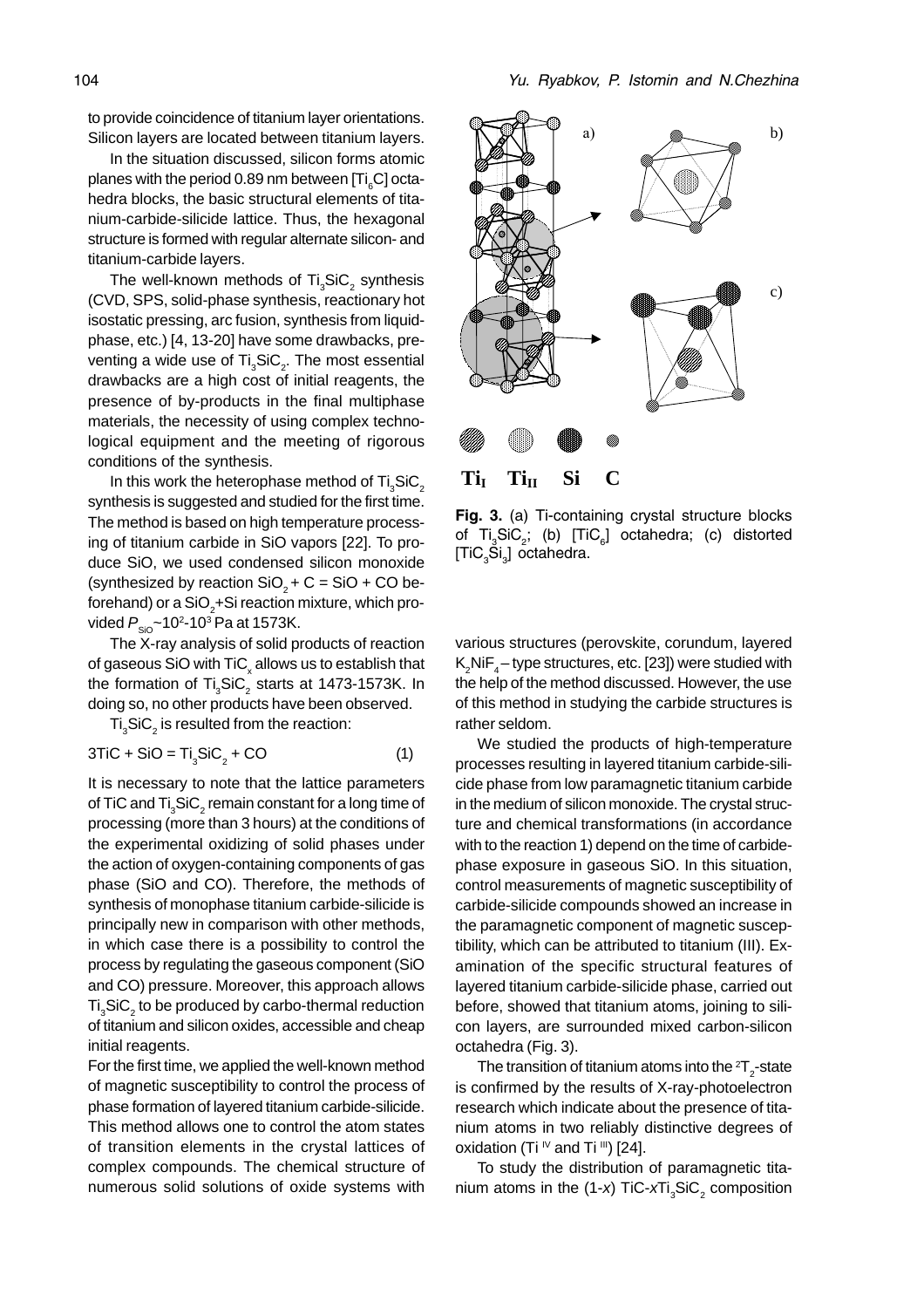to provide coincidence of titanium layer orientations. Silicon layers are located between titanium layers.

In the situation discussed, silicon forms atomic planes with the period 0.89 nm between [Ti<sub>6</sub>C] octahedra blocks, the basic structural elements of titanium-carbide-silicide lattice. Thus, the hexagonal structure is formed with regular alternate silicon- and titanium-carbide layers.

The well-known methods of Ti $_{3}$ SiC $_{2}$  synthesis (CVD, SPS, solid-phase synthesis, reactionary hot isostatic pressing, arc fusion, synthesis from liquidphase, etc.) [4, 13-20] have some drawbacks, preventing a wide use of Ti $_{\tiny 3}$ SiC $_{\tiny 2}$ . The most essential drawbacks are a high cost of initial reagents, the presence of by-products in the final multiphase materials, the necessity of using complex technological equipment and the meeting of rigorous conditions of the synthesis.

In this work the heterophase method of  $\text{Ti}_3\text{SiC}_2$ synthesis is suggested and studied for the first time. The method is based on high temperature processing of titanium carbide in SiO vapors [22]. To produce SiO, we used condensed silicon monoxide (synthesized by reaction  $SiO<sub>2</sub> + C = SiO + CO$  beforehand) or a SiO $_2^{\vphantom{\dagger}}$ +Si reaction mixture, which provided  $P_{\rm SiO}$ ~10²-10ª Pa at 1573K.

The X-ray analysis of solid products of reaction of gaseous SiO with TiC $_{\mathrm{\mathsf{x}}}$  allows us to establish that the formation of  $Ti<sub>3</sub>SiC<sub>2</sub>$  starts at 1473-1573K. In doing so, no other products have been observed.

 $\mathrm{Ti}_3\mathrm{SiC}_2$  is resulted from the reaction:

$$
3TiC + SiO = Ti3SiC2 + CO
$$
 (1)

It is necessary to note that the lattice parameters of TiC and Ti $_{\tiny 3}$ SiC $_{\tiny 2}$  remain constant for a long time of processing (more than 3 hours) at the conditions of the experimental oxidizing of solid phases under the action of oxygen-containing components of gas phase (SiO and CO). Therefore, the methods of synthesis of monophase titanium carbide-silicide is principally new in comparison with other methods, in which case there is a possibility to control the process by regulating the gaseous component (SiO and CO) pressure. Moreover, this approach allows  $\mathsf{Ti}_3\mathsf{SiC}_2$  to be produced by carbo-thermal reduction of titanium and silicon oxides, accessible and cheap initial reagents.

For the first time, we applied the well-known method of magnetic susceptibility to control the process of phase formation of layered titanium carbide-silicide. This method allows one to control the atom states of transition elements in the crystal lattices of complex compounds. The chemical structure of numerous solid solutions of oxide systems with



Fig. 3. (a) Ti-containing crystal structure blocks of  $Ti_{3}SiC_{2}$ ; (b)  $[TiC_{6}]$  octahedra; (c) distorted [TiC<sub>3</sub>Si<sub>3</sub>] octahedra.

various structures (perovskite, corundum, layered  $\mathsf{K}_2$ NiF $_4-$ type structures, etc. [23]) were studied with the help of the method discussed. However, the use of this method in studying the carbide structures is rather seldom.

We studied the products of high-temperature processes resulting in layered titanium carbide-silicide phase from low paramagnetic titanium carbide in the medium of silicon monoxide. The crystal structure and chemical transformations (in accordance with to the reaction 1) depend on the time of carbidephase exposure in gaseous SiO. In this situation, control measurements of magnetic susceptibility of carbide-silicide compounds showed an increase in the paramagnetic component of magnetic susceptibility, which can be attributed to titanium (III). Examination of the specific structural features of layered titanium carbide-silicide phase, carried out before, showed that titanium atoms, joining to silicon layers, are surrounded mixed carbon-silicon octahedra (Fig. 3).

The transition of titanium atoms into the  $^2\mathsf{T}_2^{\phantom{\dagger}}$ -state is confirmed by the results of X-ray-photoelectron research which indicate about the presence of titanium atoms in two reliably distinctive degrees of oxidation (Ti  $\sqrt{V}$  and Ti  $\sqrt{III}$ ) [24].

To study the distribution of paramagnetic titanium atoms in the (1-*x*) TiC-*x*Ti<sub>3</sub>SiC<sub>2</sub> composition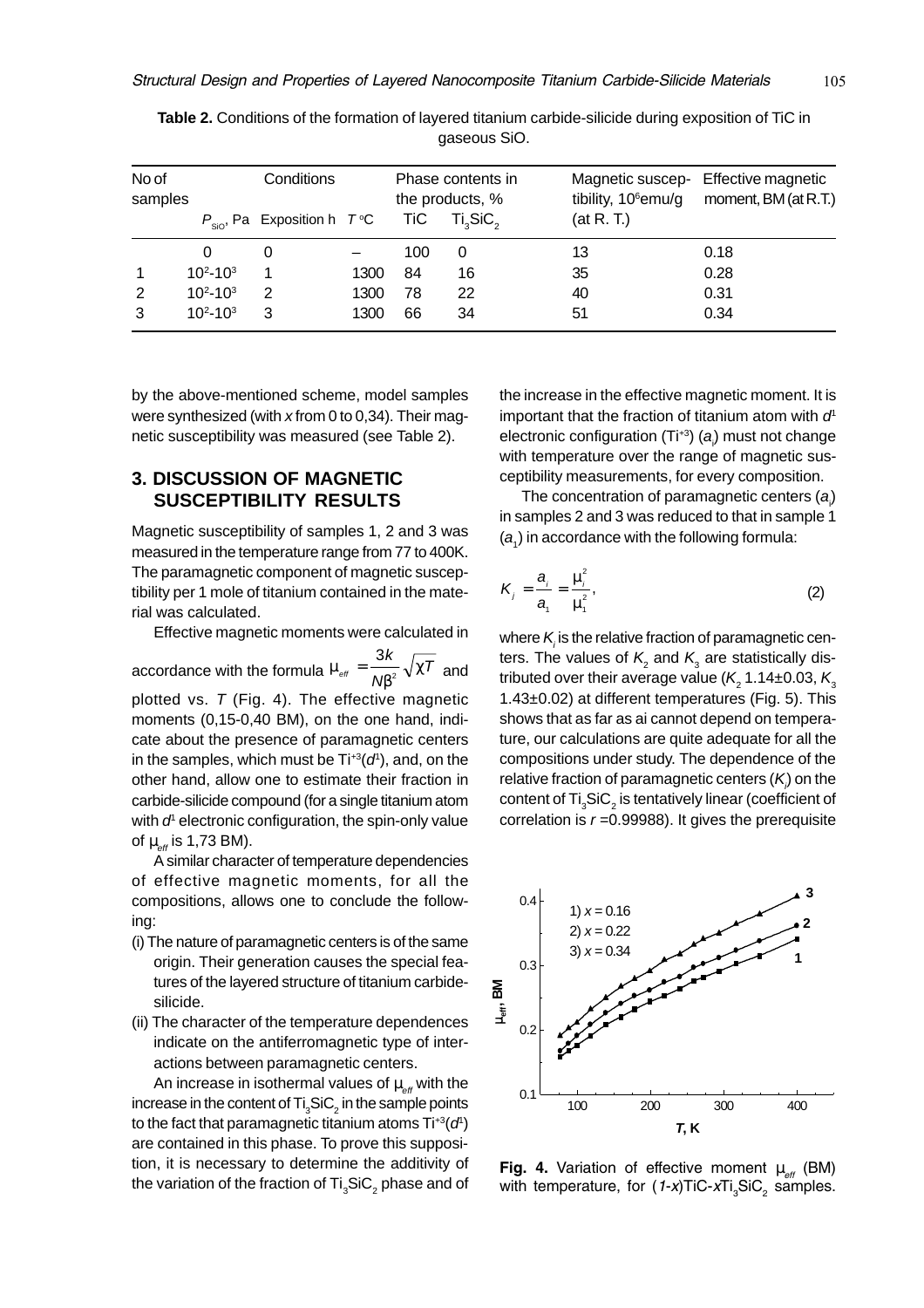| No of<br>samples |                 | Conditions                                      |      |     | Phase contents in<br>the products, % | Magnetic suscep-<br>tibility, 10 <sup>6</sup> emu/g | Effective magnetic<br>moment, BM (at R.T.) |
|------------------|-----------------|-------------------------------------------------|------|-----|--------------------------------------|-----------------------------------------------------|--------------------------------------------|
|                  |                 | $P_{\text{SiO}}$ , Pa Exposition h $T^{\circ}C$ |      | TiC | Ti <sub>3</sub> SiC <sub>2</sub>     | (at R. T.)                                          |                                            |
|                  | 0               | 0                                               |      | 100 | 0                                    | 13                                                  | 0.18                                       |
| 1                | $10^{2}-10^{3}$ | 1                                               | 1300 | 84  | 16                                   | 35                                                  | 0.28                                       |
| 2                | $10^{2}-10^{3}$ | 2                                               | 1300 | 78  | 22                                   | 40                                                  | 0.31                                       |
| 3                | $10^{2}-10^{3}$ | 3                                               | 1300 | 66  | 34                                   | 51                                                  | 0.34                                       |

**Table 2.** Conditions of the formation of layered titanium carbide-silicide during exposition of TiC in gaseous SiO.

by the above-mentioned scheme, model samples were synthesized (with x from 0 to 0,34). Their magnetic susceptibility was measured (see Table 2).

## **3. DISCUSSION OF MAGNETIC SUSCEPTIBILITY RESULTS**

Magnetic susceptibility of samples 1, 2 and 3 was measured in the temperature range from 77 to 400K. The paramagnetic component of magnetic susceptibility per 1 mole of titanium contained in the material was calculated.

Effective magnetic moments were calculated in

accordance with the formula  $\mu_{\text{\tiny eff}} = \frac{1}{\text{N}\beta^2} \sqrt{\chi}$  $=\frac{3k}{\overline{N\beta^2}}\sqrt{\chi T}$  $_{\tiny 2}^-$ √ $\chi$ / and plotted vs.  $T$  (Fig. 4). The effective magnetic moments (0,15-0,40 BM), on the one hand, indicate about the presence of paramagnetic centers in the samples, which must be  $Ti^{+3}(d^{t})$ , and, on the other hand, allow one to estimate their fraction in carbide-silicide compound (for a single titanium atom with  $d<sup>1</sup>$  electronic configuration, the spin-only value of  $\mu_{\alpha}$  is 1,73 BM).

A similar character of temperature dependencies of effective magnetic moments, for all the compositions, allows one to conclude the following:

- (i) The nature of paramagnetic centers is of the same origin. Their generation causes the special features of the layered structure of titanium carbidesilicide.
- (ii) The character of the temperature dependences indicate on the antiferromagnetic type of interactions between paramagnetic centers.

An increase in isothermal values of  $\mu_{\text{eff}}$  with the increase in the content of Ti $_{\scriptscriptstyle 3}$ SiC $_{\scriptscriptstyle 2}$  in the sample points to the fact that paramagnetic titanium atoms  $\text{Ti}^{+3}(d^{\text{t}})$ are contained in this phase. To prove this supposition, it is necessary to determine the additivity of the variation of the fraction of  $\mathsf{Ti}_3\mathsf{SiC}_2$  phase and of

the increase in the effective magnetic moment. It is important that the fraction of titanium atom with  $d<sup>1</sup>$ electronic configuration (Ti<sup>+3</sup>) (a<sub>i</sub>) must not change with temperature over the range of magnetic susceptibility measurements, for every composition.

The concentration of paramagnetic centers  $(a_j)$ in samples 2 and 3 was reduced to that in sample 1  $(a<sub>1</sub>)$  in accordance with the following formula:

$$
K_j = \frac{a_i}{a_i} = \frac{\mu_i^2}{\mu_i^2},\tag{2}
$$

where  $\mathcal{K}_{\scriptscriptstyle\beta}$  is the relative fraction of paramagnetic centers. The values of  $K_2$  and  $K_3$  are statistically distributed over their average value ( $\mathsf{K}\xspace_{_{2}}$ 1.14±0.03,  $\mathsf{K}\xspace_{_{3}}$ 1.43±0.02) at different temperatures (Fig. 5). This shows that as far as ai cannot depend on temperature, our calculations are quite adequate for all the compositions under study. The dependence of the relative fraction of paramagnetic centers (*K<sub>i</sub>*) on the content of Ti $_{\scriptscriptstyle 3}$ SiC $_{\scriptscriptstyle 2}$  is tentatively linear (coefficient of correlation is  $r = 0.99988$ ). It gives the prerequisite



Fig. 4. Variation of effective moment  $\mu_{_{\text{eff}}}$  (BM) with temperature, for  $(1-x)$ TiC-xTi<sub>3</sub>SiC<sub>2</sub> samples.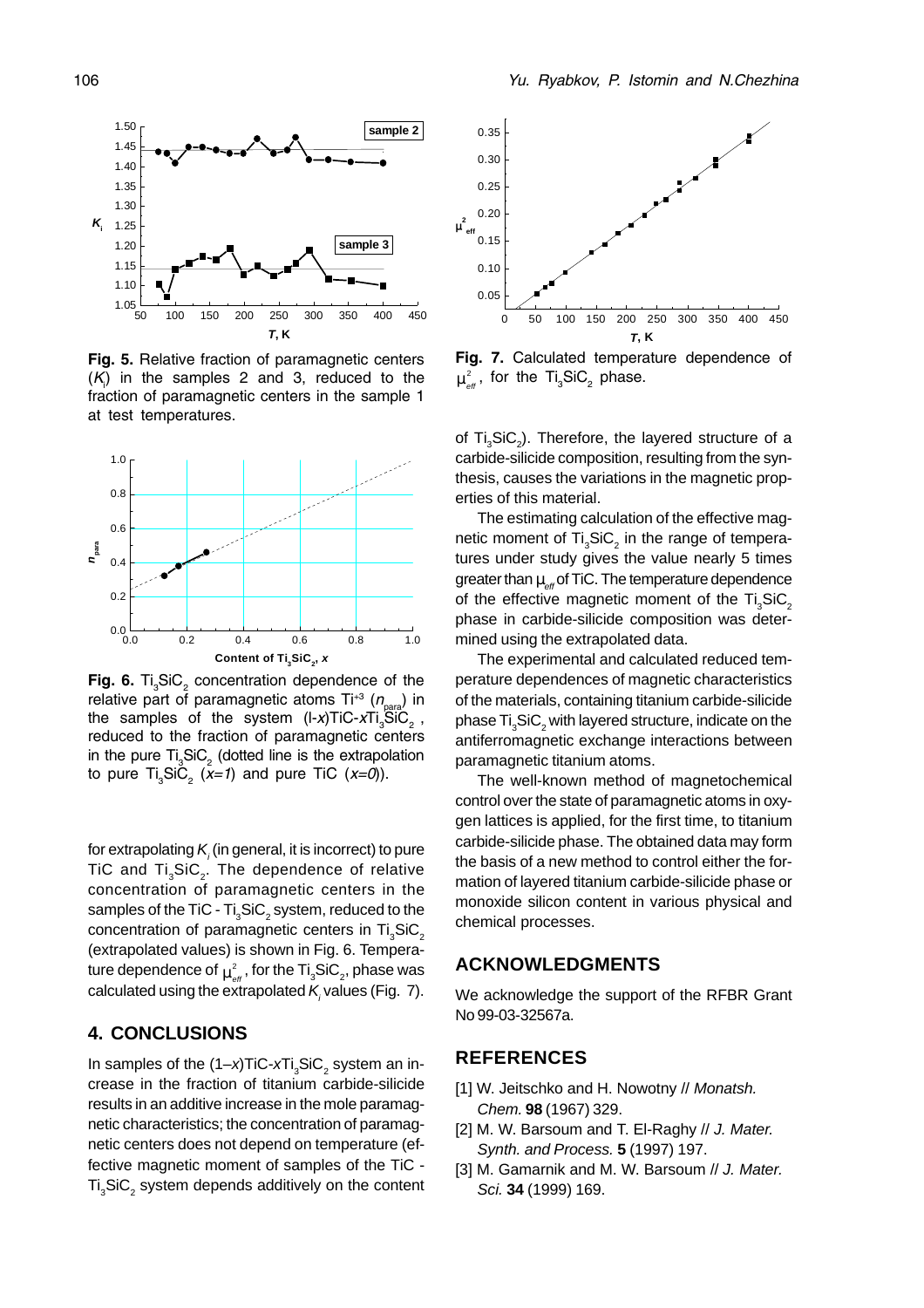

Fig. 5. Relative fraction of paramagnetic centers  $(K<sub>i</sub>)$  in the samples 2 and 3, reduced to the fraction of paramagnetic centers in the sample 1 at test temperatures.



Fig. 6.  $Ti_{3}SiC_{2}$  concentration dependence of the relative part of paramagnetic atoms Ti<sup>+3</sup> (n<sub>para</sub>) in the samples of the system (l-x)TiC-xTi $_{3}^{\circ}$ SiC<sub>2</sub>, reduced to the fraction of paramagnetic centers in the pure  $Ti_{3}SiC_{2}$  (dotted line is the extrapolation to pure  $Ti<sub>3</sub>SiC<sub>2</sub>$  (x=1) and pure TiC (x=0)).

for extrapolating  $\mathcal{K}_{\scriptscriptstyle\!/\,}$ (in general, it is incorrect) to pure TiC and Ti<sub>3</sub>SiC<sub>2</sub>. The dependence of relative concentration of paramagnetic centers in the samples of the TiC - Ti $_{\tiny 3}$ SiC $_{\tiny 2}$  system, reduced to the concentration of paramagnetic centers in Ti<sub>2</sub>SiC<sub>2</sub> (extrapolated values) is shown in Fig. 6. Temperature dependence of  $\mu^2_{\textrm{\tiny eff}}$  , for the Ti $_{3}$ SiC $_{2}$ , phase was calculated using the extrapolated  $\mathcal{K}_{\scriptscriptstyle\mathcal{J}}$  values (Fig. 7).

## **4. CONCLUSIONS**

In samples of the  $(1-x)$ TiC-xTi<sub>3</sub>SiC<sub>2</sub> system an increase in the fraction of titanium carbide-silicide results in an additive increase in the mole paramagnetic characteristics; the concentration of paramagnetic centers does not depend on temperature (effective magnetic moment of samples of the TiC -  $\text{Ti}_3\text{SiC}_2$  system depends additively on the content



Fig. 7. Calculated temperature dependence of  $\mu_{_{\text{\it eff}}}^{^{2}}$ , for the Ti $_{_{3}}$ SiC<sub>2</sub> phase.

of Ti<sub>3</sub>SiC<sub>2</sub>). Therefore, the layered structure of a carbide-silicide composition, resulting from the synthesis, causes the variations in the magnetic properties of this material.

The estimating calculation of the effective magnetic moment of Ti $_3$ SiC<sub>2</sub> in the range of temperatures under study gives the value nearly 5 times greater than  $\mu_{\text{eff}}$  of TiC. The temperature dependence of the effective magnetic moment of the  $Ti<sub>2</sub>SiC<sub>2</sub>$ phase in carbide-silicide composition was determined using the extrapolated data.

The experimental and calculated reduced temperature dependences of magnetic characteristics of the materials, containing titanium carbide-silicide phase  $\mathsf{Ti}_\mathsf{3}\mathsf{SiC}_\mathsf{2}$  with layered structure, indicate on the antiferromagnetic exchange interactions between paramagnetic titanium atoms.

The well-known method of magnetochemical control over the state of paramagnetic atoms in oxygen lattices is applied, for the first time, to titanium carbide-silicide phase. The obtained data may form the basis of a new method to control either the formation of layered titanium carbide-silicide phase or monoxide silicon content in various physical and chemical processes.

## **ACKNOWLEDGMENTS**

We acknowledge the support of the RFBR Grant No 99-03-32567a.

## **REFERENCES**

- [1] W. Jeitschko and H. Nowotny // Monatsh. Chem. **98** (1967) 329.
- [2] M. W. Barsoum and T. El-Raghy // J. Mater. Synth. and Process. **5** (1997) 197.
- [3] M. Gamarnik and M. W. Barsoum // J. Mater. Sci. **34** (1999) 169.